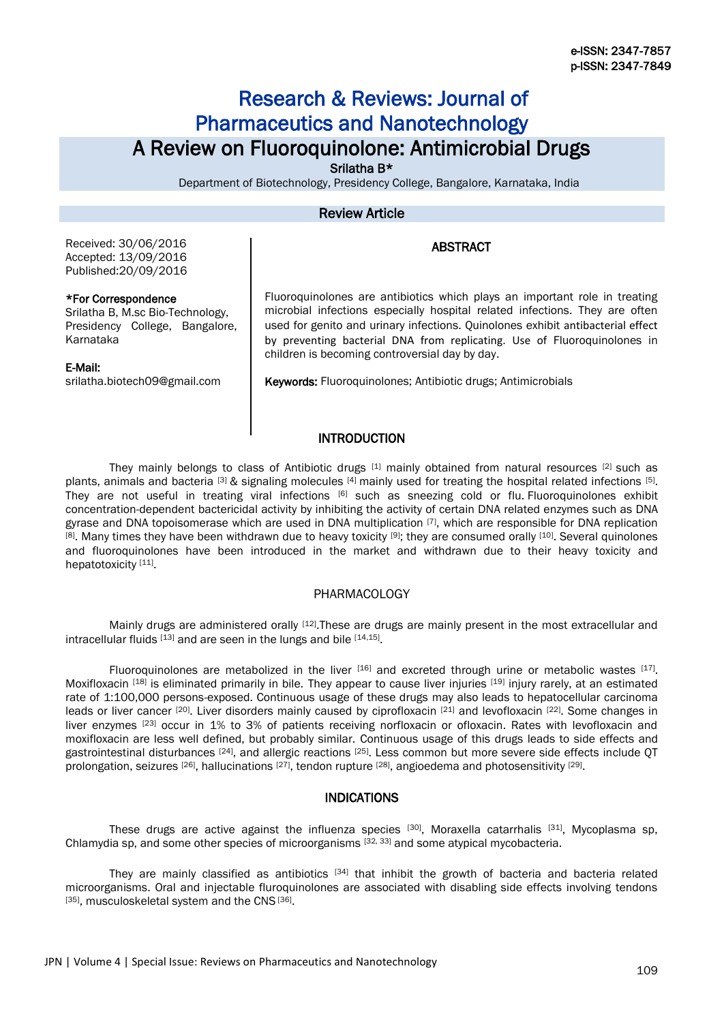# Research & Reviews: Journal of Pharmaceutics and Nanotechnology A Review on Fluoroquinolone: Antimicrobial Drugs

Srilatha B\*

Department of Biotechnology, Presidency College, Bangalore, Karnataka, India

## Review Article

## **ABSTRACT**

Received: 30/06/2016 Accepted: 13/09/2016 Published:20/09/2016

#### \*For Correspondence

Srilatha B, M.sc Bio-Technology, Presidency College, Bangalore, Karnataka

#### E-Mail:

srilatha.biotech09@gmail.com

Fluoroquinolones are antibiotics which plays an important role in treating microbial infections especially hospital related infections. They are often used for genito and urinary infections. Quinolones exhibit antibacterial effect by preventing bacterial DNA from replicating. Use of Fluoroquinolones in children is becoming controversial day by day.

Keywords: Fluoroquinolones; Antibiotic drugs; Antimicrobials

## **INTRODUCTION**

They mainly belongs to class of Antibiotic drugs [1] mainly obtained from natural resources [2] such as plants, animals and bacteria  $^{[3]}$  & signaling molecules  $^{[4]}$  mainly used for treating the hospital related infections  $^{[5]}$ . They are not useful in treating viral infections [6] such as sneezing cold or flu. Fluoroquinolones exhibit concentration-dependent bactericidal activity by inhibiting the activity of certain DNA related enzymes such as DNA gyrase and DNA topoisomerase which are used in DNA multiplication [7], which are responsible for DNA replication <sup>[8]</sup>. Many times they have been withdrawn due to heavy toxicity <sup>[9]</sup>; they are consumed orally <sup>[10]</sup>. Several quinolones and fluoroquinolones have been introduced in the market and withdrawn due to their heavy toxicity and hepatotoxicity [11].

#### PHARMACOLOGY

Mainly drugs are administered orally [12]. These are drugs are mainly present in the most extracellular and intracellular fluids [13] and are seen in the lungs and bile [14,15].

Fluoroquinolones are metabolized in the liver  $^{[16]}$  and excreted through urine or metabolic wastes  $^{[17]}$ . Moxifloxacin [18] is eliminated primarily in bile. They appear to cause liver injuries [19] injury rarely, at an estimated rate of 1:100,000 persons-exposed. Continuous usage of these drugs may also leads to hepatocellular carcinoma leads or liver cancer [20]. Liver disorders mainly caused by ciprofloxacin [21] and levofloxacin [22]. Some changes in liver enzymes [23] occur in 1% to 3% of patients receiving norfloxacin or ofloxacin. Rates with levofloxacin and moxifloxacin are less well defined, but probably similar. Continuous usage of this drugs leads to side effects and gastrointestinal disturbances <sup>[24]</sup>, and allergic reactions <sup>[25]</sup>. Less common but more severe side effects include QT prolongation, seizures [26], hallucinations [27], tendon rupture [28], angioedema and photosensitivity [29].

### INDICATIONS

These drugs are active against the influenza species <sup>[30]</sup>, Moraxella catarrhalis <sup>[31]</sup>, Mycoplasma sp, Chlamydia sp, and some other species of microorganisms [32, 33] and some atypical mycobacteria.

They are mainly classified as antibiotics [34] that inhibit the growth of bacteria and bacteria related microorganisms. Oral and injectable fluroquinolones are associated with disabling side effects involving tendons [35], musculoskeletal system and the CNS<sup>[36]</sup>.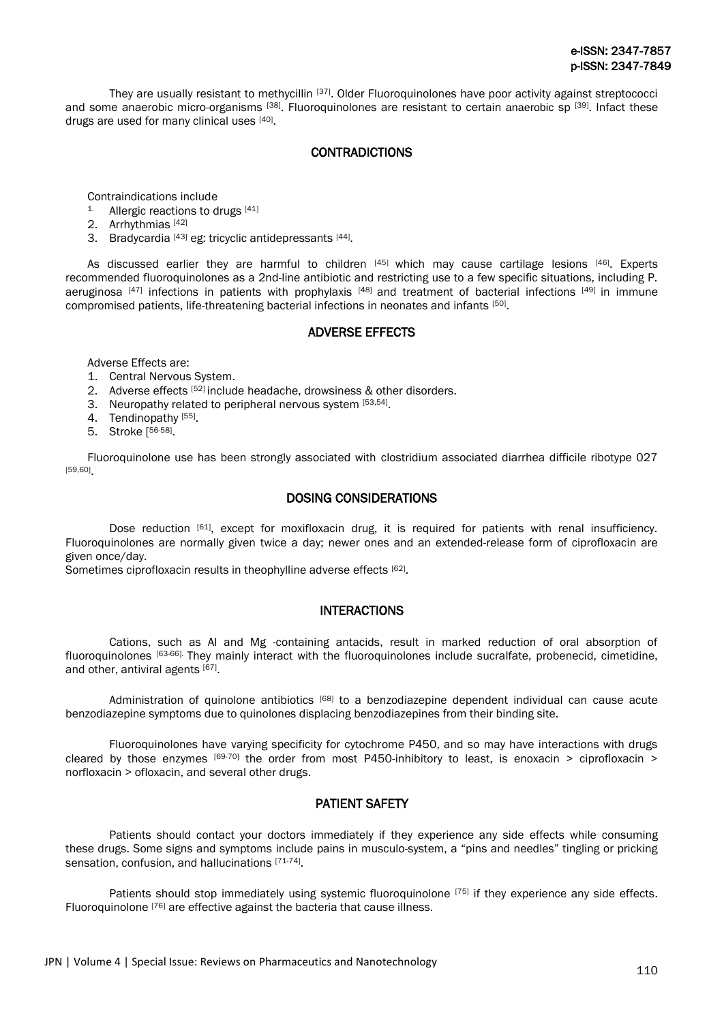They are usually resistant to methycillin [37]. Older Fluoroquinolones have poor activity against streptococci and some anaerobic micro-organisms [38]. Fluoroquinolones are resistant to certain anaerobic sp [39]. Infact these drugs are used for many clinical uses [40].

## **CONTRADICTIONS**

Contraindications include

- $1.$  Allergic reactions to drugs  $[41]$
- 2. Arrhythmias [42]
- 3. Bradycardia <a>[43]<br/> eg: tricyclic antidepressants <a>[44]</a>.

As discussed earlier they are harmful to children [45] which may cause cartilage lesions [46]. Experts recommended fluoroquinolones as a 2nd-line antibiotic and restricting use to a few specific situations, including P. aeruginosa [47] infections in patients with prophylaxis [48] and treatment of bacterial infections [49] in immune compromised patients, life-threatening bacterial infections in neonates and infants [50].

### ADVERSE EFFECTS

Adverse Effects are:

- 1. Central Nervous System.
- 2. Adverse effects [52] include headache, drowsiness & other disorders.
- 3. Neuropathy related to peripheral nervous system [53,54].
- 4. Tendinopathy<sup>[55]</sup>.
- 5. Stroke [ 56-58] .

Fluoroquinolone use has been strongly associated with clostridium associated diarrhea difficile ribotype 027 [59,60] .

## DOSING CONSIDERATIONS

Dose reduction [61], except for moxifloxacin drug, it is required for patients with renal insufficiency. Fluoroquinolones are normally given twice a day; newer ones and an extended-release form of ciprofloxacin are given once/day.

Sometimes ciprofloxacin results in theophylline adverse effects [62].

### INTERACTIONS

Cations, such as Al and Mg -containing antacids, result in marked reduction of oral absorption of fluoroquinolones [63-66]. They mainly interact with the fluoroquinolones include sucralfate, probenecid, cimetidine, and other, antiviral agents [67].

Administration of quinolone antibiotics [68] to a benzodiazepine dependent individual can cause acute benzodiazepine symptoms due to quinolones displacing benzodiazepines from their binding site.

Fluoroquinolones have varying specificity for cytochrome P450, and so may have interactions with drugs cleared by those enzymes  $[69-70]$  the order from most P450-inhibitory to least, is enoxacin > ciprofloxacin > norfloxacin > ofloxacin, and several other drugs.

## PATIENT SAFETY

Patients should contact your doctors immediately if they experience any side effects while consuming these drugs. Some signs and symptoms include pains in musculo-system, a "pins and needles" tingling or pricking sensation, confusion, and hallucinations [71-74].

Patients should stop immediately using systemic fluoroquinolone <sup>[75]</sup> if they experience any side effects. Fluoroquinolone [76] are effective against the bacteria that cause illness.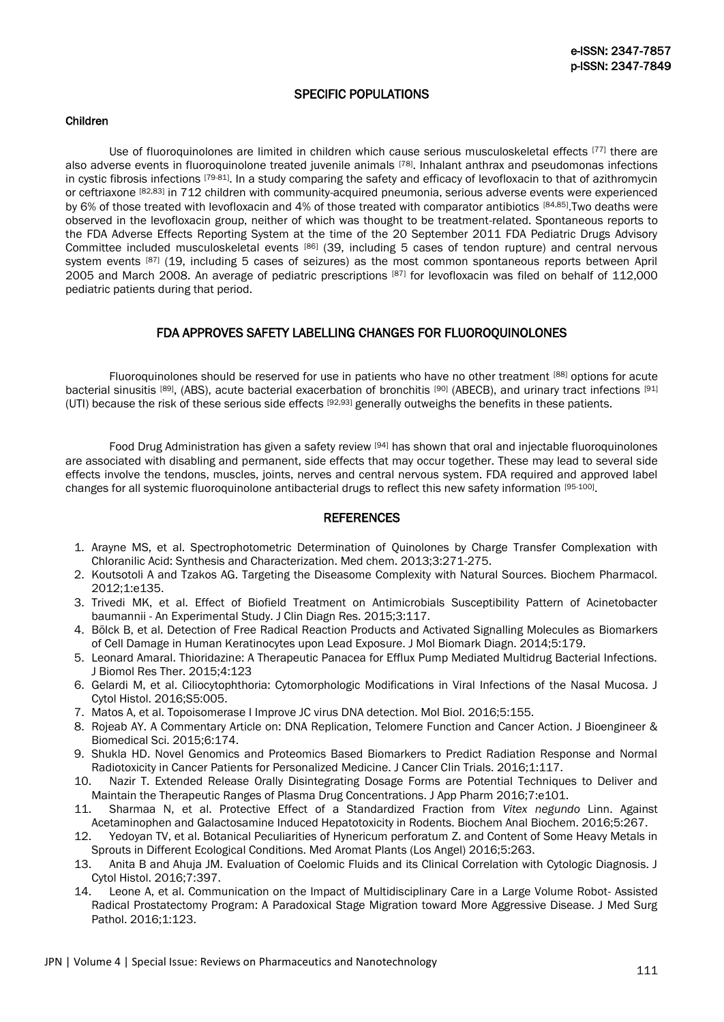## SPECIFIC POPULATIONS

#### Children

Use of fluoroquinolones are limited in children which cause serious musculoskeletal effects [77] there are also adverse events in fluoroquinolone treated juvenile animals [78]. Inhalant anthrax and pseudomonas infections in cystic fibrosis infections [79-81]. In a study comparing the safety and efficacy of levofloxacin to that of azithromycin or ceftriaxone [82,83] in 712 children with community-acquired pneumonia, serious adverse events were experienced by 6% of those treated with levofloxacin and 4% of those treated with comparator antibiotics [84,85]. Two deaths were observed in the levofloxacin group, neither of which was thought to be treatment-related. Spontaneous reports to the FDA Adverse Effects Reporting System at the time of the 20 September 2011 FDA Pediatric Drugs Advisory Committee included musculoskeletal events [86] (39, including 5 cases of tendon rupture) and central nervous system events [87] (19, including 5 cases of seizures) as the most common spontaneous reports between April 2005 and March 2008. An average of pediatric prescriptions [87] for levofloxacin was filed on behalf of 112,000 pediatric patients during that period.

## FDA APPROVES SAFETY LABELLING CHANGES FOR FLUOROQUINOLONES

Fluoroquinolones should be reserved for use in patients who have no other treatment [88] options for acute bacterial sinusitis [89], (ABS), acute bacterial exacerbation of bronchitis [90] (ABECB), and urinary tract infections [91] (UTI) because the risk of these serious side effects [92,93] generally outweighs the benefits in these patients.

Food Drug Administration has given a safety review [94] has shown that oral and injectable fluoroquinolones are associated with disabling and permanent, side effects that may occur together. These may lead to several side effects involve the tendons, muscles, joints, nerves and central nervous system. FDA required and approved label changes for all systemic fluoroquinolone antibacterial drugs to reflect this new safety information [95-100].

## **REFERENCES**

- 1. Arayne MS, et al. Spectrophotometric Determination of Quinolones by Charge Transfer Complexation with Chloranilic Acid: Synthesis and Characterization. Med chem. 2013;3:271-275.
- 2. Koutsotoli A and Tzakos AG. Targeting the Diseasome Complexity with Natural Sources. Biochem Pharmacol. 2012;1:e135.
- 3. Trivedi MK, et al. Effect of Biofield Treatment on Antimicrobials Susceptibility Pattern of Acinetobacter baumannii - An Experimental Study. J Clin Diagn Res. 2015;3:117.
- 4. Bölck B, et al. Detection of Free Radical Reaction Products and Activated Signalling Molecules as Biomarkers of Cell Damage in Human Keratinocytes upon Lead Exposure. J Mol Biomark Diagn. 2014;5:179.
- 5. Leonard Amaral. Thioridazine: A Therapeutic Panacea for Efflux Pump Mediated Multidrug Bacterial Infections. J Biomol Res Ther. 2015;4:123
- 6. Gelardi M, et al. Ciliocytophthoria: Cytomorphologic Modifications in Viral Infections of the Nasal Mucosa. J Cytol Histol. 2016;S5:005.
- 7. Matos A, et al. Topoisomerase I Improve JC virus DNA detection. Mol Biol. 2016;5:155.
- 8. Rojeab AY. A Commentary Article on: DNA Replication, Telomere Function and Cancer Action. J Bioengineer & Biomedical Sci. 2015;6:174.
- 9. Shukla HD. Novel Genomics and Proteomics Based Biomarkers to Predict Radiation Response and Normal Radiotoxicity in Cancer Patients for Personalized Medicine. J Cancer Clin Trials. 2016;1:117.<br>10. Nazir T. Extended Release Orally Disintegrating Dosage Forms are Potential Techniqu
- Nazir T. Extended Release Orally Disintegrating Dosage Forms are Potential Techniques to Deliver and Maintain the Therapeutic Ranges of Plasma Drug Concentrations. J App Pharm 2016;7:e101.
- 11. Sharmaa N, et al. Protective Effect of a Standardized Fraction from *Vitex negundo* Linn. Against Acetaminophen and Galactosamine Induced Hepatotoxicity in Rodents. Biochem Anal Biochem. 2016;5:267.
- 12. Yedoyan TV, et al. Botanical Peculiarities of Hynericum perforatum Z. and Content of Some Heavy Metals in Sprouts in Different Ecological Conditions. Med Aromat Plants (Los Angel) 2016;5:263.
- 13. Anita B and Ahuja JM. Evaluation of Coelomic Fluids and its Clinical Correlation with Cytologic Diagnosis. J Cytol Histol. 2016;7:397.
- 14. Leone A, et al. Communication on the Impact of Multidisciplinary Care in a Large Volume Robot- Assisted Radical Prostatectomy Program: A Paradoxical Stage Migration toward More Aggressive Disease. J Med Surg Pathol. 2016;1:123.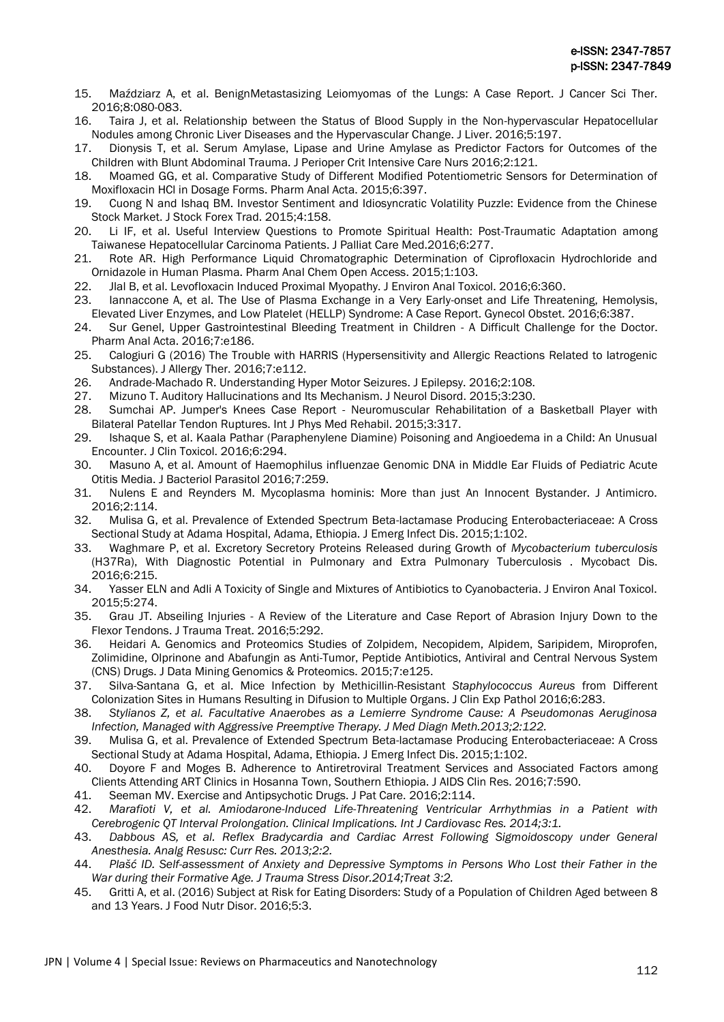- 15. Maździarz A, et al. BenignMetastasizing Leiomyomas of the Lungs: A Case Report. J Cancer Sci Ther. 2016;8:080-083.
- 16. Taira J, et al. Relationship between the Status of Blood Supply in the Non-hypervascular Hepatocellular Nodules among Chronic Liver Diseases and the Hypervascular Change. J Liver. 2016;5:197.
- 17. Dionysis T, et al. Serum Amylase, Lipase and Urine Amylase as Predictor Factors for Outcomes of the Children with Blunt Abdominal Trauma. J Perioper Crit Intensive Care Nurs 2016;2:121.
- 18. Moamed GG, et al. Comparative Study of Different Modified Potentiometric Sensors for Determination of Moxifloxacin HCl in Dosage Forms. Pharm Anal Acta. 2015;6:397.
- 19. Cuong N and Ishaq BM. Investor Sentiment and Idiosyncratic Volatility Puzzle: Evidence from the Chinese Stock Market. J Stock Forex Trad. 2015;4:158.
- 20. Li IF, et al. Useful Interview Questions to Promote Spiritual Health: Post-Traumatic Adaptation among Taiwanese Hepatocellular Carcinoma Patients. J Palliat Care Med.2016;6:277.
- 21. Rote AR. High Performance Liquid Chromatographic Determination of Ciprofloxacin Hydrochloride and Ornidazole in Human Plasma. Pharm Anal Chem Open Access. 2015;1:103.
- 22. Jlal B, et al. Levofloxacin Induced Proximal Myopathy. J Environ Anal Toxicol. 2016;6:360.
- 23. Iannaccone A, et al. The Use of Plasma Exchange in a Very Early-onset and Life Threatening, Hemolysis, Elevated Liver Enzymes, and Low Platelet (HELLP) Syndrome: A Case Report. Gynecol Obstet. 2016;6:387.
- 24. Sur Genel, Upper Gastrointestinal Bleeding Treatment in Children A Difficult Challenge for the Doctor. Pharm Anal Acta. 2016;7:e186.
- 25. Calogiuri G (2016) The Trouble with HARRIS (Hypersensitivity and Allergic Reactions Related to Iatrogenic Substances). J Allergy Ther. 2016;7:e112.
- 26. Andrade-Machado R. Understanding Hyper Motor Seizures. J Epilepsy. 2016;2:108.
- 27. Mizuno T. Auditory Hallucinations and Its Mechanism. J Neurol Disord. 2015;3:230.
- 28. Sumchai AP. Jumper's Knees Case Report Neuromuscular Rehabilitation of a Basketball Player with Bilateral Patellar Tendon Ruptures. Int J Phys Med Rehabil. 2015;3:317.
- 29. Ishaque S, et al. Kaala Pathar (Paraphenylene Diamine) Poisoning and Angioedema in a Child: An Unusual Encounter. J Clin Toxicol. 2016;6:294.
- 30. Masuno A, et al. Amount of Haemophilus influenzae Genomic DNA in Middle Ear Fluids of Pediatric Acute Otitis Media. J Bacteriol Parasitol 2016;7:259.
- 31. Nulens E and Reynders M. Mycoplasma hominis: More than just An Innocent Bystander. J Antimicro. 2016;2:114.
- 32. Mulisa G, et al. Prevalence of Extended Spectrum Beta-lactamase Producing Enterobacteriaceae: A Cross Sectional Study at Adama Hospital, Adama, Ethiopia. J Emerg Infect Dis. 2015;1:102.
- 33. Waghmare P, et al. Excretory Secretory Proteins Released during Growth of *Mycobacterium tuberculosis* (H37Ra), With Diagnostic Potential in Pulmonary and Extra Pulmonary Tuberculosis . Mycobact Dis. 2016;6:215.
- 34. Yasser ELN and Adli A Toxicity of Single and Mixtures of Antibiotics to Cyanobacteria. J Environ Anal Toxicol. 2015;5:274.
- 35. Grau JT. Abseiling Injuries A Review of the Literature and Case Report of Abrasion Injury Down to the Flexor Tendons. J Trauma Treat. 2016;5:292.
- 36. Heidari A. Genomics and Proteomics Studies of Zolpidem, Necopidem, Alpidem, Saripidem, Miroprofen, Zolimidine, Olprinone and Abafungin as Anti-Tumor, Peptide Antibiotics, Antiviral and Central Nervous System (CNS) Drugs. J Data Mining Genomics & Proteomics. 2015;7:e125.
- 37. Silva-Santana G, et al. Mice Infection by Methicillin-Resistant *Staphylococcus Aureus* from Different Colonization Sites in Humans Resulting in Difusion to Multiple Organs. J Clin Exp Pathol 2016;6:283.
- 38. *Stylianos Z, et al. Facultative Anaerobes as a Lemierre Syndrome Cause: A Pseudomonas Aeruginosa Infection, Managed with Aggressive Preemptive Therapy. J Med Diagn Meth.2013;2:122.*
- 39. Mulisa G, et al. Prevalence of Extended Spectrum Beta-lactamase Producing Enterobacteriaceae: A Cross Sectional Study at Adama Hospital, Adama, Ethiopia. J Emerg Infect Dis. 2015;1:102.
- 40. Doyore F and Moges B. Adherence to Antiretroviral Treatment Services and Associated Factors among Clients Attending ART Clinics in Hosanna Town, Southern Ethiopia. J AIDS Clin Res. 2016;7:590.
- 41. Seeman MV. Exercise and Antipsychotic Drugs. J Pat Care. 2016;2:114.
- 42. *Marafioti V, et al. Amiodarone-Induced Life-Threatening Ventricular Arrhythmias in a Patient with Cerebrogenic QT Interval Prolongation. Clinical Implications. Int J Cardiovasc Res. 2014;3:1.*
- 43. *Dabbous AS, et al. Reflex Bradycardia and Cardiac Arrest Following Sigmoidoscopy under General Anesthesia. Analg Resusc: Curr Res. 2013;2:2.*
- 44. *Plašć ID. Self-assessment of Anxiety and Depressive Symptoms in Persons Who Lost their Father in the War during their Formative Age. J Trauma Stress Disor.2014;Treat 3:2.*
- 45. Gritti A, et al. (2016) Subject at Risk for Eating Disorders: Study of a Population of Children Aged between 8 and 13 Years. J Food Nutr Disor. 2016;5:3.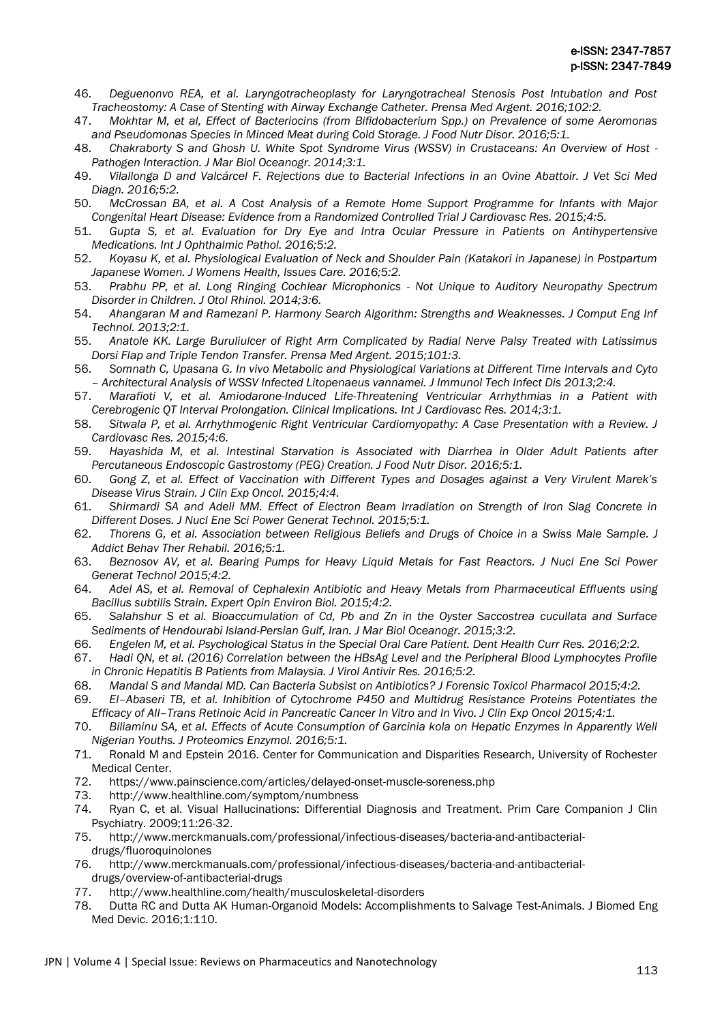- 46. *Deguenonvo REA, et al. Laryngotracheoplasty for Laryngotracheal Stenosis Post Intubation and Post Tracheostomy: A Case of Stenting with Airway Exchange Catheter. Prensa Med Argent. 2016;102:2.*
- 47. *Mokhtar M, et al, Effect of Bacteriocins (from Bifidobacterium Spp.) on Prevalence of some Aeromonas and Pseudomonas Species in Minced Meat during Cold Storage. J Food Nutr Disor. 2016;5:1.*
- 48. *Chakraborty S and Ghosh U. White Spot Syndrome Virus (WSSV) in Crustaceans: An Overview of Host - Pathogen Interaction. J Mar Biol Oceanogr. 2014;3:1.*
- 49. *Vilallonga D and Valcárcel F. Rejections due to Bacterial Infections in an Ovine Abattoir. J Vet Sci Med Diagn. 2016;5:2.*
- 50. *McCrossan BA, et al. A Cost Analysis of a Remote Home Support Programme for Infants with Major Congenital Heart Disease: Evidence from a Randomized Controlled Trial J Cardiovasc Res. 2015;4:5.*
- 51. *Gupta S, et al. Evaluation for Dry Eye and Intra Ocular Pressure in Patients on Antihypertensive Medications. Int J Ophthalmic Pathol. 2016;5:2.*
- 52. *Koyasu K, et al. Physiological Evaluation of Neck and Shoulder Pain (Katakori in Japanese) in Postpartum Japanese Women. J Womens Health, Issues Care. 2016;5:2.*
- 53. *Prabhu PP, et al. Long Ringing Cochlear Microphonics - Not Unique to Auditory Neuropathy Spectrum Disorder in Children. J Otol Rhinol. 2014;3:6.*
- 54. *Ahangaran M and Ramezani P. Harmony Search Algorithm: Strengths and Weaknesses. J Comput Eng Inf Technol. 2013;2:1.*
- 55. *Anatole KK. Large Buruliulcer of Right Arm Complicated by Radial Nerve Palsy Treated with Latissimus Dorsi Flap and Triple Tendon Transfer. Prensa Med Argent. 2015;101:3.*
- 56. *Somnath C, Upasana G. In vivo Metabolic and Physiological Variations at Different Time Intervals and Cyto – Architectural Analysis of WSSV Infected Litopenaeus vannamei. J Immunol Tech Infect Dis 2013;2:4.*
- 57. *Marafioti V, et al. Amiodarone-Induced Life-Threatening Ventricular Arrhythmias in a Patient with Cerebrogenic QT Interval Prolongation. Clinical Implications. Int J Cardiovasc Res. 2014;3:1.*
- 58. *Sitwala P, et al. Arrhythmogenic Right Ventricular Cardiomyopathy: A Case Presentation with a Review. J Cardiovasc Res. 2015;4:6.*
- 59. *Hayashida M, et al. Intestinal Starvation is Associated with Diarrhea in Older Adult Patients after Percutaneous Endoscopic Gastrostomy (PEG) Creation. J Food Nutr Disor. 2016;5:1.*
- 60. *Gong Z, et al. Effect of Vaccination with Different Types and Dosages against a Very Virulent Marek's Disease Virus Strain. J Clin Exp Oncol. 2015;4:4.*
- 61. *Shirmardi SA and Adeli MM. Effect of Electron Beam Irradiation on Strength of Iron Slag Concrete in Different Doses. J Nucl Ene Sci Power Generat Technol. 2015;5:1.*
- 62. *Thorens G, et al. Association between Religious Beliefs and Drugs of Choice in a Swiss Male Sample. J Addict Behav Ther Rehabil. 2016;5:1.*
- 63. *Beznosov AV, et al. Bearing Pumps for Heavy Liquid Metals for Fast Reactors. J Nucl Ene Sci Power Generat Technol 2015;4:2.*
- 64. *Adel AS, et al. Removal of Cephalexin Antibiotic and Heavy Metals from Pharmaceutical Effluents using Bacillus subtilis Strain. Expert Opin Environ Biol. 2015;4:2.*
- 65. *Salahshur S et al. Bioaccumulation of Cd, Pb and Zn in the Oyster Saccostrea cucullata and Surface Sediments of Hendourabi Island-Persian Gulf, Iran. J Mar Biol Oceanogr. 2015;3:2.*
- 66. *Engelen M, et al. Psychological Status in the Special Oral Care Patient. Dent Health Curr Res. 2016;2:2.*
- 67. *Hadi QN, et al. (2016) Correlation between the HBsAg Level and the Peripheral Blood Lymphocytes Profile in Chronic Hepatitis B Patients from Malaysia. J Virol Antivir Res. 2016;5:2.*
- 68. *Mandal S and Mandal MD. Can Bacteria Subsist on Antibiotics? J Forensic Toxicol Pharmacol 2015;4:2.*
- 69. *El–Abaseri TB, et al. Inhibition of Cytochrome P450 and Multidrug Resistance Proteins Potentiates the Efficacy of All–Trans Retinoic Acid in Pancreatic Cancer In Vitro and In Vivo. J Clin Exp Oncol 2015;4:1.*
- 70. *Biliaminu SA, et al. Effects of Acute Consumption of Garcinia kola on Hepatic Enzymes in Apparently Well Nigerian Youths. J Proteomics Enzymol. 2016;5:1.*
- 71. Ronald M and Epstein 2016. Center for Communication and Disparities Research, University of Rochester Medical Center.
- 72. https://www.painscience.com/articles/delayed-onset-muscle-soreness.php
- 73. http://www.healthline.com/symptom/numbness
- 74. Ryan C, et al. Visual Hallucinations: Differential Diagnosis and Treatment. Prim Care Companion J Clin Psychiatry. 2009;11:26-32.
- 75. http://www.merckmanuals.com/professional/infectious-diseases/bacteria-and-antibacterialdrugs/fluoroquinolones
- 76. http://www.merckmanuals.com/professional/infectious-diseases/bacteria-and-antibacterialdrugs/overview-of-antibacterial-drugs
- 77. http://www.healthline.com/health/musculoskeletal-disorders
- 78. Dutta RC and Dutta AK Human-Organoid Models: Accomplishments to Salvage Test-Animals. J Biomed Eng Med Devic. 2016;1:110.